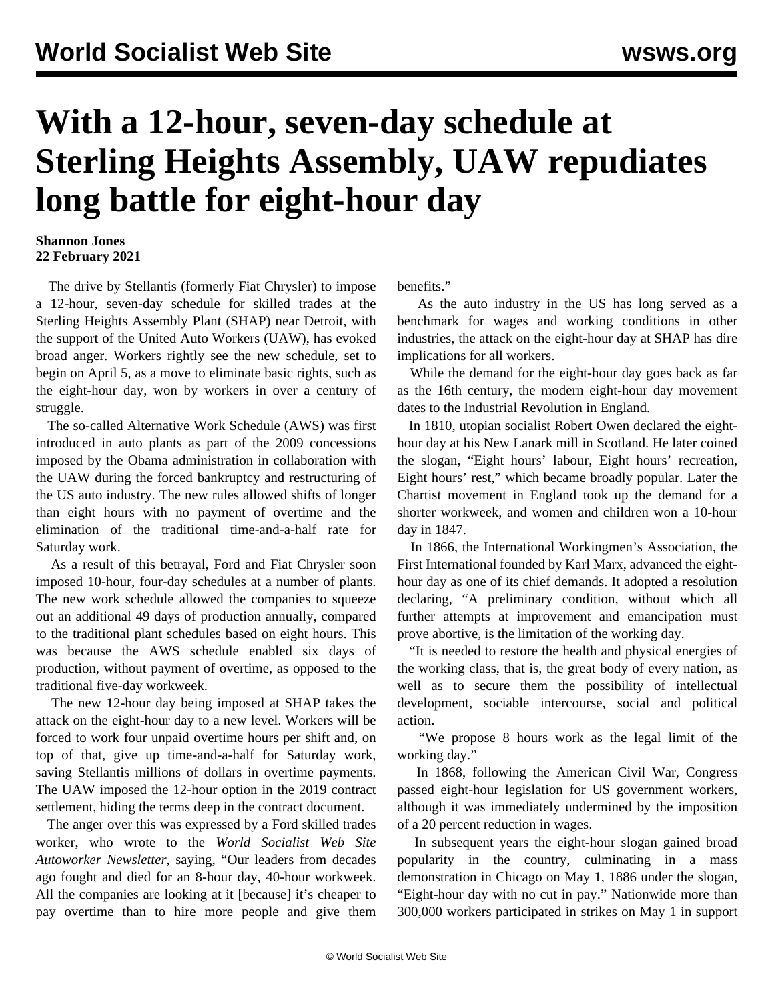## **With a 12-hour, seven-day schedule at Sterling Heights Assembly, UAW repudiates long battle for eight-hour day**

## **Shannon Jones 22 February 2021**

 The drive by Stellantis (formerly Fiat Chrysler) to impose a 12-hour, seven-day schedule for skilled trades at the Sterling Heights Assembly Plant (SHAP) near Detroit, with the support of the United Auto Workers (UAW), has evoked broad anger. Workers rightly see the new schedule, set to begin on April 5, as a move to eliminate basic rights, such as the eight-hour day, won by workers in over a century of struggle.

 The so-called Alternative Work Schedule (AWS) was first introduced in auto plants as part of the 2009 concessions imposed by the Obama administration in collaboration with the UAW during the forced bankruptcy and restructuring of the US auto industry. The new rules allowed shifts of longer than eight hours with no payment of overtime and the elimination of the traditional time-and-a-half rate for Saturday work.

 As a result of this betrayal, Ford and Fiat Chrysler soon imposed 10-hour, four-day schedules at a number of plants. The new work schedule allowed the companies to squeeze out an additional 49 days of production annually, compared to the traditional plant schedules based on eight hours. This was because the AWS schedule enabled six days of production, without payment of overtime, as opposed to the traditional five-day workweek.

 The new 12-hour day being imposed at SHAP takes the attack on the eight-hour day to a new level. Workers will be forced to work four unpaid overtime hours per shift and, on top of that, give up time-and-a-half for Saturday work, saving Stellantis millions of dollars in overtime payments. The UAW imposed the 12-hour option in the 2019 contract settlement, hiding the terms deep in the contract document.

 The anger over this was expressed by a Ford skilled trades worker, who wrote to the *World Socialist Web Site Autoworker Newsletter*, saying, "Our leaders from decades ago fought and died for an 8-hour day, 40-hour workweek. All the companies are looking at it [because] it's cheaper to pay overtime than to hire more people and give them benefits."

 As the auto industry in the US has long served as a benchmark for wages and working conditions in other industries, the attack on the eight-hour day at SHAP has dire implications for all workers.

 While the demand for the eight-hour day goes back as far as the 16th century, the modern eight-hour day movement dates to the Industrial Revolution in England.

 In 1810, utopian socialist Robert Owen declared the eighthour day at his New Lanark mill in Scotland. He later coined the slogan, "Eight hours' labour, Eight hours' recreation, Eight hours' rest," which became broadly popular. Later the Chartist movement in England took up the demand for a shorter workweek, and women and children won a 10-hour day in 1847.

 In 1866, the International Workingmen's Association, the First International founded by Karl Marx, advanced the eighthour day as one of its chief demands. It adopted a resolution declaring, "A preliminary condition, without which all further attempts at improvement and emancipation must prove abortive, is the limitation of the working day.

 "It is needed to restore the health and physical energies of the working class, that is, the great body of every nation, as well as to secure them the possibility of intellectual development, sociable intercourse, social and political action.

 "We propose 8 hours work as the legal limit of the working day."

 In 1868, following the American Civil War, Congress passed eight-hour legislation for US government workers, although it was immediately undermined by the imposition of a 20 percent reduction in wages.

 In subsequent years the eight-hour slogan gained broad popularity in the country, culminating in a mass demonstration in Chicago on [May 1, 1886](/en/articles/2009/05/hay1-m11.html) under the slogan, "Eight-hour day with no cut in pay." Nationwide more than 300,000 workers participated in strikes on May 1 in support